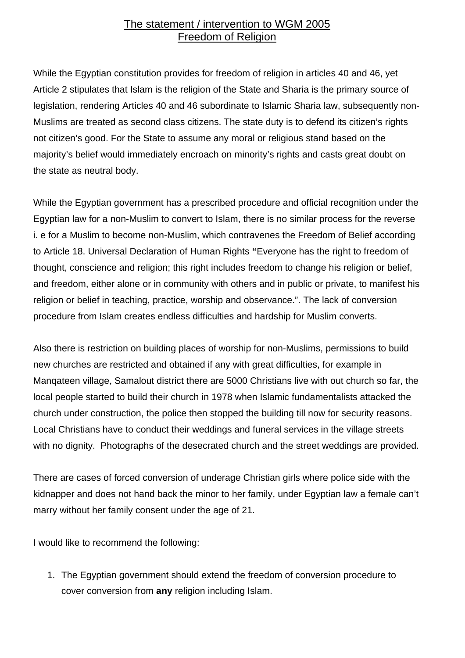## The statement / intervention to WGM 2005 Freedom of Religion

While the Egyptian constitution provides for freedom of religion in articles 40 and 46, yet Article 2 stipulates that Islam is the religion of the State and Sharia is the primary source of legislation, rendering Articles 40 and 46 subordinate to Islamic Sharia law, subsequently non-Muslims are treated as second class citizens. The state duty is to defend its citizen's rights not citizen's good. For the State to assume any moral or religious stand based on the majority's belief would immediately encroach on minority's rights and casts great doubt on the state as neutral body.

While the Egyptian government has a prescribed procedure and official recognition under the Egyptian law for a non-Muslim to convert to Islam, there is no similar process for the reverse i. e for a Muslim to become non-Muslim, which contravenes the Freedom of Belief according to Article 18. Universal Declaration of Human Rights **"**Everyone has the right to freedom of thought, conscience and religion; this right includes freedom to change his religion or belief, and freedom, either alone or in community with others and in public or private, to manifest his religion or belief in teaching, practice, worship and observance.". The lack of conversion procedure from Islam creates endless difficulties and hardship for Muslim converts.

Also there is restriction on building places of worship for non-Muslims, permissions to build new churches are restricted and obtained if any with great difficulties, for example in Manqateen village, Samalout district there are 5000 Christians live with out church so far, the local people started to build their church in 1978 when Islamic fundamentalists attacked the church under construction, the police then stopped the building till now for security reasons. Local Christians have to conduct their weddings and funeral services in the village streets with no dignity. Photographs of the desecrated church and the street weddings are provided.

There are cases of forced conversion of underage Christian girls where police side with the kidnapper and does not hand back the minor to her family, under Egyptian law a female can't marry without her family consent under the age of 21.

I would like to recommend the following:

1. The Egyptian government should extend the freedom of conversion procedure to cover conversion from **any** religion including Islam.